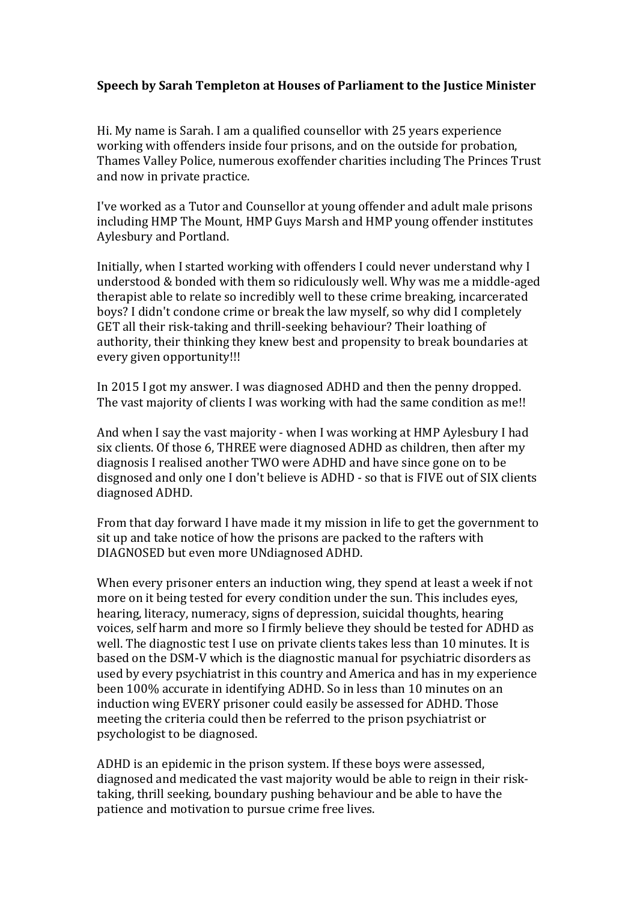## **Speech by Sarah Templeton at Houses of Parliament to the Justice Minister**

Hi. My name is Sarah. I am a qualified counsellor with 25 years experience working with offenders inside four prisons, and on the outside for probation, Thames Valley Police, numerous exoffender charities including The Princes Trust and now in private practice.

I've worked as a Tutor and Counsellor at young offender and adult male prisons including HMP The Mount, HMP Guys Marsh and HMP young offender institutes Aylesbury and Portland.

Initially, when I started working with offenders I could never understand why I understood & bonded with them so ridiculously well. Why was me a middle-aged therapist able to relate so incredibly well to these crime breaking, incarcerated boys? I didn't condone crime or break the law myself, so why did I completely GET all their risk-taking and thrill-seeking behaviour? Their loathing of authority, their thinking they knew best and propensity to break boundaries at every given opportunity!!!

In 2015 I got my answer. I was diagnosed ADHD and then the penny dropped. The vast majority of clients I was working with had the same condition as me!!

And when I say the vast majority - when I was working at HMP Aylesbury I had six clients. Of those 6, THREE were diagnosed ADHD as children, then after my diagnosis I realised another TWO were ADHD and have since gone on to be disgnosed and only one I don't believe is ADHD - so that is FIVE out of SIX clients diagnosed ADHD. 

From that day forward I have made it my mission in life to get the government to sit up and take notice of how the prisons are packed to the rafters with DIAGNOSED but even more UNdiagnosed ADHD.

When every prisoner enters an induction wing, they spend at least a week if not more on it being tested for every condition under the sun. This includes eyes, hearing, literacy, numeracy, signs of depression, suicidal thoughts, hearing voices, self harm and more so I firmly believe they should be tested for ADHD as well. The diagnostic test I use on private clients takes less than 10 minutes. It is based on the DSM-V which is the diagnostic manual for psychiatric disorders as used by every psychiatrist in this country and America and has in my experience been 100% accurate in identifying ADHD. So in less than 10 minutes on an induction wing EVERY prisoner could easily be assessed for ADHD. Those meeting the criteria could then be referred to the prison psychiatrist or psychologist to be diagnosed.

ADHD is an epidemic in the prison system. If these boys were assessed, diagnosed and medicated the vast majority would be able to reign in their risktaking, thrill seeking, boundary pushing behaviour and be able to have the patience and motivation to pursue crime free lives.